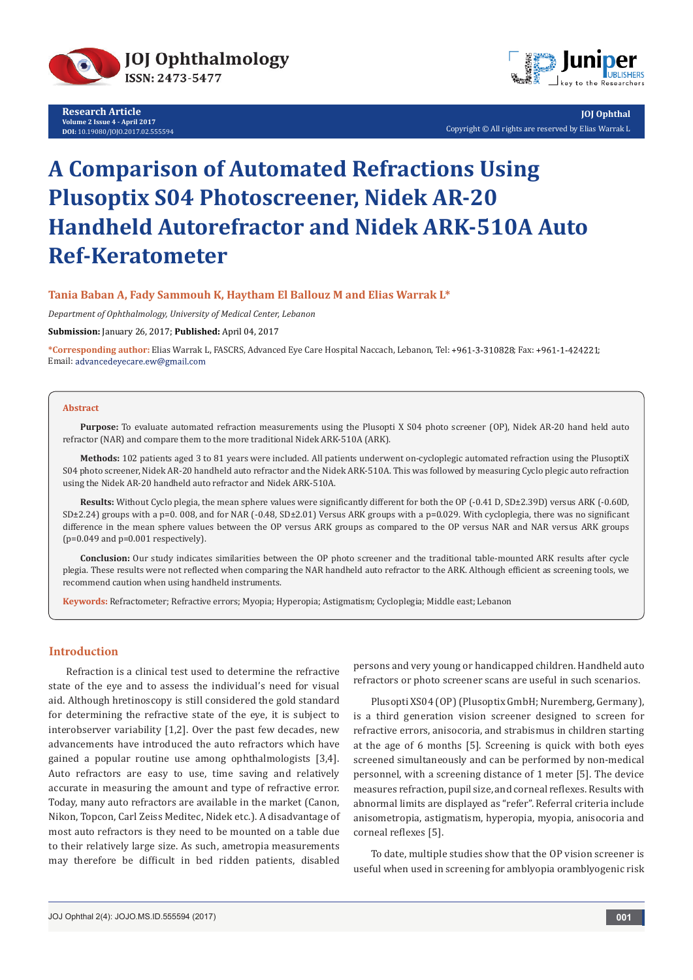

**Research Article Volume 2 Issue 4 - April 2017 DOI:** [10.19080/JOJO.2017.02.555594](http://http://dx.doi.org/10.19080/JOJO.2017.02.555594
)



**JOJ Ophthal** Copyright © All rights are reserved by Elias Warrak L

# **A Comparison of Automated Refractions Using Plusoptix S04 Photoscreener, Nidek AR-20 Handheld Autorefractor and Nidek ARK-510A Auto Ref-Keratometer**

### **Tania Baban A, Fady Sammouh K, Haytham El Ballouz M and Elias Warrak L\***

*Department of Ophthalmology, University of Medical Center, Lebanon*

**Submission:** January 26, 2017; **Published:** April 04, 2017

\*Corresponding author: Elias Warrak L, FASCRS, Advanced Eye Care Hospital Naccach, Lebanon, Tel: +961-3-310828; Fax: +961-1-424221; Email: advancedeyecare.ew@gmail.com

#### **Abstract**

**Purpose:** To evaluate automated refraction measurements using the Plusopti X S04 photo screener (OP), Nidek AR-20 hand held auto refractor (NAR) and compare them to the more traditional Nidek ARK-510A (ARK).

**Methods:** 102 patients aged 3 to 81 years were included. All patients underwent on-cycloplegic automated refraction using the PlusoptiX S04 photo screener, Nidek AR-20 handheld auto refractor and the Nidek ARK-510A. This was followed by measuring Cyclo plegic auto refraction using the Nidek AR-20 handheld auto refractor and Nidek ARK-510A.

**Results:** Without Cyclo plegia, the mean sphere values were significantly different for both the OP (-0.41 D, SD±2.39D) versus ARK (-0.60D, SD±2.24) groups with a p=0. 008, and for NAR (-0.48, SD±2.01) Versus ARK groups with a p=0.029. With cycloplegia, there was no significant difference in the mean sphere values between the OP versus ARK groups as compared to the OP versus NAR and NAR versus ARK groups  $(p=0.049$  and  $p=0.001$  respectively).

**Conclusion:** Our study indicates similarities between the OP photo screener and the traditional table-mounted ARK results after cycle plegia. These results were not reflected when comparing the NAR handheld auto refractor to the ARK. Although efficient as screening tools, we recommend caution when using handheld instruments.

**Keywords:** Refractometer; Refractive errors; Myopia; Hyperopia; Astigmatism; Cycloplegia; Middle east; Lebanon

## **Introduction**

Refraction is a clinical test used to determine the refractive state of the eye and to assess the individual's need for visual aid. Although hretinoscopy is still considered the gold standard for determining the refractive state of the eye, it is subject to interobserver variability [1,2]. Over the past few decades, new advancements have introduced the auto refractors which have gained a popular routine use among ophthalmologists [3,4]. Auto refractors are easy to use, time saving and relatively accurate in measuring the amount and type of refractive error. Today, many auto refractors are available in the market (Canon, Nikon, Topcon, Carl Zeiss Meditec, Nidek etc.). A disadvantage of most auto refractors is they need to be mounted on a table due to their relatively large size. As such, ametropia measurements may therefore be difficult in bed ridden patients, disabled

persons and very young or handicapped children. Handheld auto refractors or photo screener scans are useful in such scenarios.

Plusopti XS04 (OP) (Plusoptix GmbH; Nuremberg, Germany), is a third generation vision screener designed to screen for refractive errors, anisocoria, and strabismus in children starting at the age of 6 months [5]. Screening is quick with both eyes screened simultaneously and can be performed by non-medical personnel, with a screening distance of 1 meter [5]. The device measures refraction, pupil size, and corneal reflexes. Results with abnormal limits are displayed as "refer". Referral criteria include anisometropia, astigmatism, hyperopia, myopia, anisocoria and corneal reflexes [5].

To date, multiple studies show that the OP vision screener is useful when used in screening for amblyopia oramblyogenic risk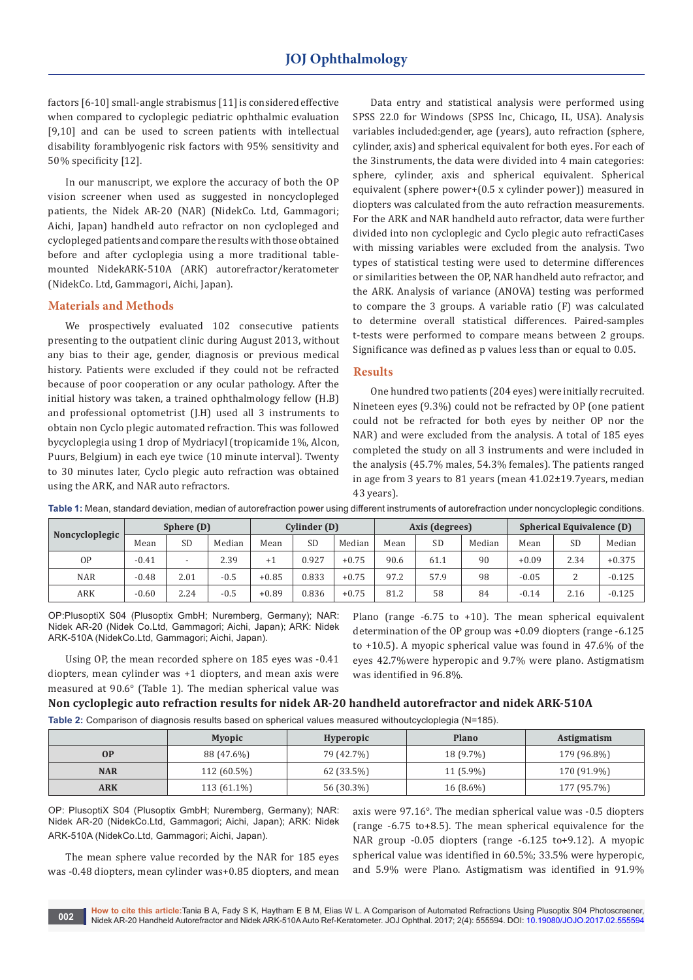factors [6-10] small-angle strabismus [11] is considered effective when compared to cycloplegic pediatric ophthalmic evaluation [9,10] and can be used to screen patients with intellectual disability foramblyogenic risk factors with 95% sensitivity and 50% specificity [12].

In our manuscript, we explore the accuracy of both the OP vision screener when used as suggested in noncyclopleged patients, the Nidek AR-20 (NAR) (NidekCo. Ltd, Gammagori; Aichi, Japan) handheld auto refractor on non cyclopleged and cyclopleged patients and compare the results with those obtained before and after cycloplegia using a more traditional tablemounted NidekARK-510A (ARK) autorefractor/keratometer (NidekCo. Ltd, Gammagori, Aichi, Japan).

#### **Materials and Methods**

We prospectively evaluated 102 consecutive patients presenting to the outpatient clinic during August 2013, without any bias to their age, gender, diagnosis or previous medical history. Patients were excluded if they could not be refracted because of poor cooperation or any ocular pathology. After the initial history was taken, a trained ophthalmology fellow (H.B) and professional optometrist (J.H) used all 3 instruments to obtain non Cyclo plegic automated refraction. This was followed bycycloplegia using 1 drop of Mydriacyl (tropicamide 1%, Alcon, Puurs, Belgium) in each eye twice (10 minute interval). Twenty to 30 minutes later, Cyclo plegic auto refraction was obtained using the ARK, and NAR auto refractors.

Data entry and statistical analysis were performed using SPSS 22.0 for Windows (SPSS Inc, Chicago, IL, USA). Analysis variables included:gender, age (years), auto refraction (sphere, cylinder, axis) and spherical equivalent for both eyes. For each of the 3instruments, the data were divided into 4 main categories: sphere, cylinder, axis and spherical equivalent. Spherical equivalent (sphere power+(0.5 x cylinder power)) measured in diopters was calculated from the auto refraction measurements. For the ARK and NAR handheld auto refractor, data were further divided into non cycloplegic and Cyclo plegic auto refractiCases with missing variables were excluded from the analysis. Two types of statistical testing were used to determine differences or similarities between the OP, NAR handheld auto refractor, and the ARK. Analysis of variance (ANOVA) testing was performed to compare the 3 groups. A variable ratio (F) was calculated to determine overall statistical differences. Paired-samples t-tests were performed to compare means between 2 groups. Significance was defined as p values less than or equal to 0.05.

#### **Results**

One hundred two patients (204 eyes) were initially recruited. Nineteen eyes (9.3%) could not be refracted by OP (one patient could not be refracted for both eyes by neither OP nor the NAR) and were excluded from the analysis. A total of 185 eyes completed the study on all 3 instruments and were included in the analysis (45.7% males, 54.3% females). The patients ranged in age from 3 years to 81 years (mean 41.02±19.7years, median 43 years).

| Noncycloplegic | Sphere (D) |           |        | Cylinder (D) |       | Axis (degrees) |      |           | <b>Spherical Equivalence (D)</b> |         |           |          |
|----------------|------------|-----------|--------|--------------|-------|----------------|------|-----------|----------------------------------|---------|-----------|----------|
|                | Mean       | <b>SD</b> | Median | Mean         | SD    | Median         | Mean | <b>SD</b> | Median                           | Mean    | <b>SD</b> | Median   |
| 0P             | $-0.41$    | -         | 2.39   | $+1$         | 0.927 | $+0.75$        | 90.6 | 61.1      | 90                               | $+0.09$ | 2.34      | $+0.375$ |
| <b>NAR</b>     | $-0.48$    | 2.01      | $-0.5$ | $+0.85$      | 0.833 | $+0.75$        | 97.2 | 57.9      | 98                               | $-0.05$ |           | $-0.125$ |
| ARK            | $-0.60$    | 2.24      | $-0.5$ | $+0.89$      | 0.836 | $+0.75$        | 81.2 | 58        | 84                               | $-0.14$ | 2.16      | $-0.125$ |

**Table 1:** Mean, standard deviation, median of autorefraction power using different instruments of autorefraction under noncycloplegic conditions.

OP:PlusoptiX S04 (Plusoptix GmbH; Nuremberg, Germany); NAR: Nidek AR-20 (Nidek Co.Ltd, Gammagori; Aichi, Japan); ARK: Nidek ARK-510A (NidekCo.Ltd, Gammagori; Aichi, Japan).

Using OP, the mean recorded sphere on 185 eyes was -0.41 diopters, mean cylinder was +1 diopters, and mean axis were measured at 90.6° (Table 1). The median spherical value was

Plano (range -6.75 to +10). The mean spherical equivalent determination of the OP group was +0.09 diopters (range -6.125 to +10.5). A myopic spherical value was found in 47.6% of the eyes 42.7%were hyperopic and 9.7% were plano. Astigmatism was identified in 96.8%.

#### **Non cycloplegic auto refraction results for nidek AR-20 handheld autorefractor and nidek ARK-510A**

**Table 2:** Comparison of diagnosis results based on spherical values measured withoutcycloplegia (N=185).

|            | <b>Myopic</b> | <b>Hyperopic</b> | Plano       | Astigmatism |
|------------|---------------|------------------|-------------|-------------|
| <b>OP</b>  | 88 (47.6%)    | 79 (42.7%)       | 18 (9.7%)   | 179 (96.8%) |
| <b>NAR</b> | 112 (60.5%)   | 62 (33.5%)       | $11(5.9\%)$ | 170 (91.9%) |
| <b>ARK</b> | 113 (61.1%)   | 56 (30.3%)       | 16 (8.6%)   | 177 (95.7%) |

OP: PlusoptiX S04 (Plusoptix GmbH; Nuremberg, Germany); NAR: Nidek AR-20 (NidekCo.Ltd, Gammagori; Aichi, Japan); ARK: Nidek ARK-510A (NidekCo.Ltd, Gammagori; Aichi, Japan).

The mean sphere value recorded by the NAR for 185 eyes was -0.48 diopters, mean cylinder was+0.85 diopters, and mean

axis were 97.16°. The median spherical value was -0.5 diopters (range -6.75 to+8.5). The mean spherical equivalence for the NAR group -0.05 diopters (range -6.125 to+9.12). A myopic spherical value was identified in 60.5%; 33.5% were hyperopic, and 5.9% were Plano. Astigmatism was identified in 91.9%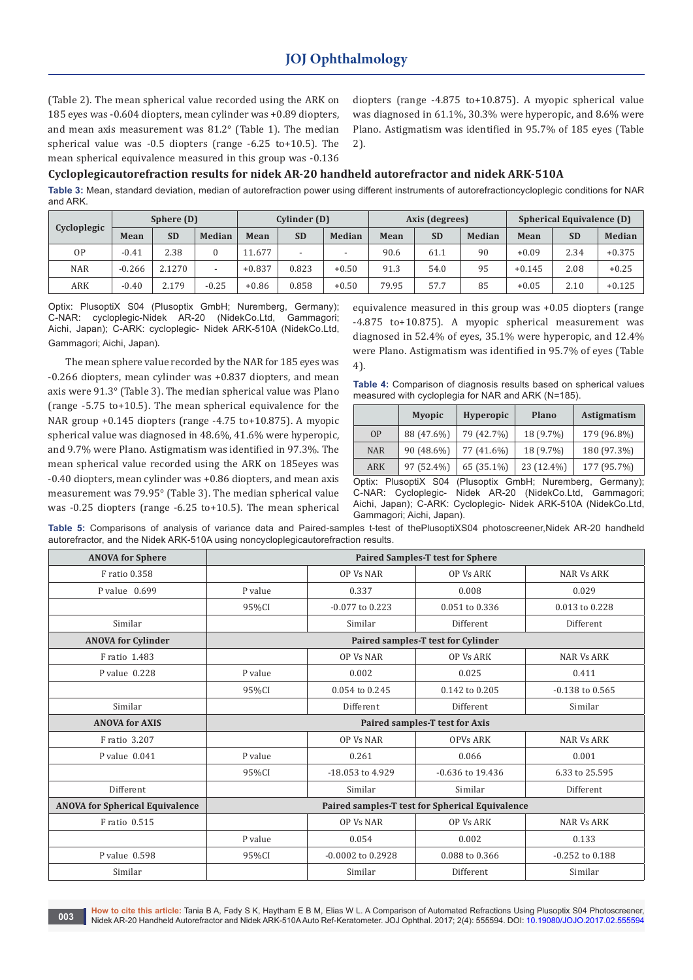(Table 2). The mean spherical value recorded using the ARK on 185 eyes was -0.604 diopters, mean cylinder was +0.89 diopters, and mean axis measurement was 81.2° (Table 1). The median spherical value was -0.5 diopters (range -6.25 to+10.5). The mean spherical equivalence measured in this group was -0.136

diopters (range -4.875 to+10.875). A myopic spherical value was diagnosed in 61.1%, 30.3% were hyperopic, and 8.6% were Plano. Astigmatism was identified in 95.7% of 185 eyes (Table 2).

#### **Cycloplegicautorefraction results for nidek AR-20 handheld autorefractor and nidek ARK-510A**

**Table 3:** Mean, standard deviation, median of autorefraction power using different instruments of autorefractioncycloplegic conditions for NAR and ARK.

| Cycloplegic | Sphere (D) |           |               | Cylinder (D) |           | Axis (degrees) |         |           | <b>Spherical Equivalence (D)</b> |      |           |        |          |
|-------------|------------|-----------|---------------|--------------|-----------|----------------|---------|-----------|----------------------------------|------|-----------|--------|----------|
|             | Mean       | <b>SD</b> | <b>Median</b> | Mean         | <b>SD</b> | Median         | Mean    | <b>SD</b> | Median                           | Mean | <b>SD</b> | Median |          |
|             | 0P         | $-0.41$   | 2.38          |              | 11.677    |                |         | 90.6      | 61.1                             | 90   | $+0.09$   | 2.34   | $+0.375$ |
|             | <b>NAR</b> | $-0.266$  | 2.1270        |              | $+0.837$  | 0.823          | $+0.50$ | 91.3      | 54.0                             | 95   | $+0.145$  | 2.08   | $+0.25$  |
|             | ARK        | $-0.40$   | 2.179         | $-0.25$      | $+0.86$   | 0.858          | $+0.50$ | 79.95     | 57.7                             | 85   | $+0.05$   | 2.10   | $+0.125$ |

Optix: PlusoptiX S04 (Plusoptix GmbH; Nuremberg, Germany); C-NAR: cycloplegic-Nidek AR-20 (NidekCo.Ltd, Gammagori; Aichi, Japan); C-ARK: cycloplegic- Nidek ARK-510A (NidekCo.Ltd, Gammagori; Aichi, Japan).

The mean sphere value recorded by the NAR for 185 eyes was -0.266 diopters, mean cylinder was +0.837 diopters, and mean axis were 91.3° (Table 3). The median spherical value was Plano (range -5.75 to+10.5). The mean spherical equivalence for the NAR group +0.145 diopters (range -4.75 to+10.875). A myopic spherical value was diagnosed in 48.6%, 41.6% were hyperopic, and 9.7% were Plano. Astigmatism was identified in 97.3%. The mean spherical value recorded using the ARK on 185eyes was -0.40 diopters, mean cylinder was +0.86 diopters, and mean axis measurement was 79.95° (Table 3). The median spherical value was -0.25 diopters (range -6.25 to+10.5). The mean spherical equivalence measured in this group was +0.05 diopters (range -4.875 to+10.875). A myopic spherical measurement was diagnosed in 52.4% of eyes, 35.1% were hyperopic, and 12.4% were Plano. Astigmatism was identified in 95.7% of eyes (Table 4).

**Table 4:** Comparison of diagnosis results based on spherical values measured with cycloplegia for NAR and ARK (N=185).

|            | <b>Myopic</b> | <b>Hyperopic</b> | <b>Plano</b> | <b>Astigmatism</b> |
|------------|---------------|------------------|--------------|--------------------|
| OP         | 88 (47.6%)    | 79 (42.7%)       | 18 (9.7%)    | 179 (96.8%)        |
| <b>NAR</b> | 90 (48.6%)    | 77 (41.6%)       | 18 (9.7%)    | 180 (97.3%)        |
| ARK        | 97 (52.4%)    | 65 (35.1%)       | 23 (12.4%)   | 177 (95.7%)        |

Optix: PlusoptiX S04 (Plusoptix GmbH; Nuremberg, Germany); C-NAR: Cycloplegic- Nidek AR-20 (NidekCo.Ltd, Gammagori; Aichi, Japan); C-ARK: Cycloplegic- Nidek ARK-510A (NidekCo.Ltd, Gammagori; Aichi, Japan).

Table 5: Comparisons of analysis of variance data and Paired-samples t-test of thePlusoptiXS04 photoscreener,Nidek AR-20 handheld autorefractor, and the Nidek ARK-510A using noncycloplegicautorefraction results.

| <b>ANOVA for Sphere</b>                |                                                 |                       | <b>Paired Samples-T test for Sphere</b> |                     |  |  |  |
|----------------------------------------|-------------------------------------------------|-----------------------|-----------------------------------------|---------------------|--|--|--|
| F ratio 0.358                          |                                                 | <b>OP Vs NAR</b>      | <b>OP Vs ARK</b>                        | <b>NAR Vs ARK</b>   |  |  |  |
| P value 0.699                          | P value                                         | 0.337                 | 0.008                                   | 0.029               |  |  |  |
|                                        | 95%CI                                           | $-0.077$ to $0.223$   | 0.051 to 0.336                          | 0.013 to 0.228      |  |  |  |
| Similar                                |                                                 | Similar               | Different                               | <b>Different</b>    |  |  |  |
| <b>ANOVA for Cylinder</b>              |                                                 |                       | Paired samples-T test for Cylinder      |                     |  |  |  |
| F ratio 1.483                          |                                                 | OP Vs NAR             | <b>OP Vs ARK</b>                        | <b>NAR Vs ARK</b>   |  |  |  |
| P value 0.228                          | P value                                         | 0.002                 | 0.025                                   | 0.411               |  |  |  |
|                                        | 95%CI                                           | 0.054 to 0.245        | 0.142 to 0.205                          | $-0.138$ to $0.565$ |  |  |  |
| Similar                                |                                                 | Different             | Different                               | Similar             |  |  |  |
| <b>ANOVA for AXIS</b>                  | Paired samples-T test for Axis                  |                       |                                         |                     |  |  |  |
| F ratio 3.207                          |                                                 | OP Vs NAR             | <b>OPVs ARK</b>                         | <b>NAR Vs ARK</b>   |  |  |  |
| P value 0.041                          | P value                                         | 0.261                 | 0.066                                   | 0.001               |  |  |  |
|                                        | 95%CI                                           | -18.053 to 4.929      | $-0.636$ to 19.436                      | 6.33 to 25.595      |  |  |  |
| Different                              |                                                 | Similar               | Similar                                 | Different           |  |  |  |
| <b>ANOVA for Spherical Equivalence</b> | Paired samples-T test for Spherical Equivalence |                       |                                         |                     |  |  |  |
| F ratio 0.515                          |                                                 | <b>OP Vs NAR</b>      | <b>OP Vs ARK</b>                        | <b>NAR Vs ARK</b>   |  |  |  |
|                                        | P value                                         | 0.054                 | 0.002                                   | 0.133               |  |  |  |
| P value 0.598                          | 95%CI                                           | $-0.0002$ to $0.2928$ | 0.088 to 0.366                          | $-0.252$ to $0.188$ |  |  |  |
| Similar                                |                                                 | Similar               | Different                               | Similar             |  |  |  |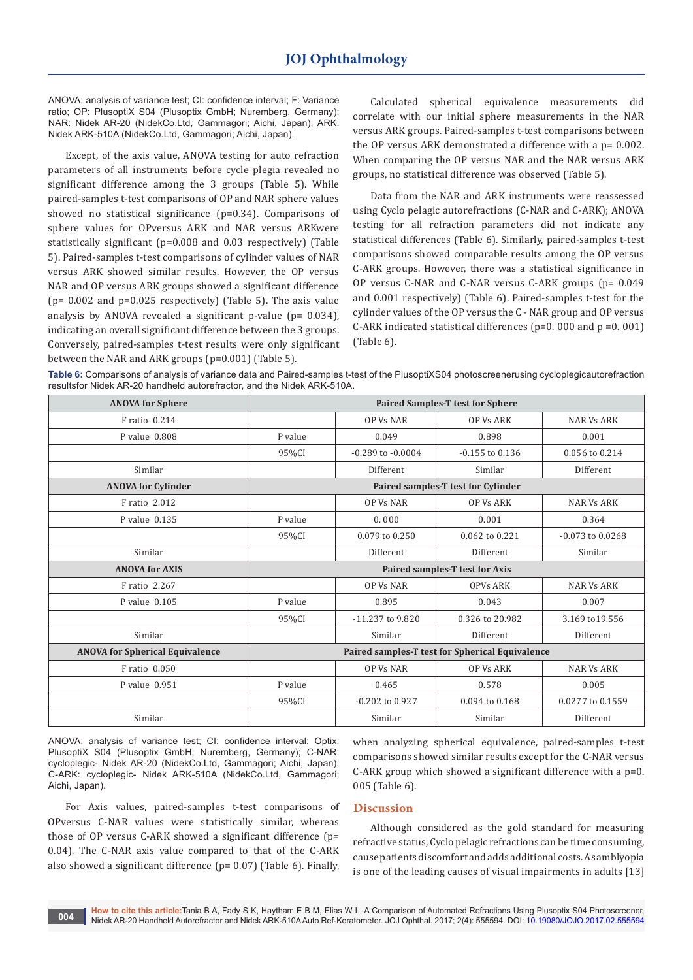ANOVA: analysis of variance test; CI: confidence interval; F: Variance ratio; OP: PlusoptiX S04 (Plusoptix GmbH; Nuremberg, Germany); NAR: Nidek AR-20 (NidekCo.Ltd, Gammagori; Aichi, Japan); ARK: Nidek ARK-510A (NidekCo.Ltd, Gammagori; Aichi, Japan).

Except, of the axis value, ANOVA testing for auto refraction parameters of all instruments before cycle plegia revealed no significant difference among the 3 groups (Table 5). While paired-samples t-test comparisons of OP and NAR sphere values showed no statistical significance (p=0.34). Comparisons of sphere values for OPversus ARK and NAR versus ARKwere statistically significant (p=0.008 and 0.03 respectively) (Table 5). Paired-samples t-test comparisons of cylinder values of NAR versus ARK showed similar results. However, the OP versus NAR and OP versus ARK groups showed a significant difference ( $p= 0.002$  and  $p=0.025$  respectively) (Table 5). The axis value analysis by ANOVA revealed a significant p-value ( $p= 0.034$ ), indicating an overall significant difference between the 3 groups. Conversely, paired-samples t-test results were only significant between the NAR and ARK groups (p=0.001) (Table 5).

Calculated spherical equivalence measurements did correlate with our initial sphere measurements in the NAR versus ARK groups. Paired-samples t-test comparisons between the OP versus ARK demonstrated a difference with a p= 0.002. When comparing the OP versus NAR and the NAR versus ARK groups, no statistical difference was observed (Table 5).

Data from the NAR and ARK instruments were reassessed using Cyclo pelagic autorefractions (C-NAR and C-ARK); ANOVA testing for all refraction parameters did not indicate any statistical differences (Table 6). Similarly, paired-samples t-test comparisons showed comparable results among the OP versus C-ARK groups. However, there was a statistical significance in OP versus C-NAR and C-NAR versus C-ARK groups (p= 0.049 and 0.001 respectively) (Table 6). Paired-samples t-test for the cylinder values of the OP versus the C - NAR group and OP versus C-ARK indicated statistical differences (p=0. 000 and p =0. 001) (Table 6).

**Table 6:** Comparisons of analysis of variance data and Paired-samples t-test of the PlusoptiXS04 photoscreenerusing cycloplegicautorefraction resultsfor Nidek AR-20 handheld autorefractor, and the Nidek ARK-510A.

| <b>ANOVA for Sphere</b>                | <b>Paired Samples-T test for Sphere</b>         |                       |                                    |                      |  |  |  |
|----------------------------------------|-------------------------------------------------|-----------------------|------------------------------------|----------------------|--|--|--|
| F ratio 0.214                          |                                                 | <b>OP Vs NAR</b>      | <b>OP Vs ARK</b>                   | <b>NAR Vs ARK</b>    |  |  |  |
| P value $0.808$                        | P value                                         | 0.049                 | 0.898                              | 0.001                |  |  |  |
|                                        | 95%CI                                           | $-0.289$ to $-0.0004$ | $-0.155$ to $0.136$                | 0.056 to 0.214       |  |  |  |
| Similar                                |                                                 | Different             | Similar                            | Different            |  |  |  |
| <b>ANOVA for Cylinder</b>              |                                                 |                       | Paired samples-T test for Cylinder |                      |  |  |  |
| F ratio 2.012                          |                                                 | OP Vs NAR             | <b>OP Vs ARK</b>                   | <b>NAR Vs ARK</b>    |  |  |  |
| P value 0.135                          | P value                                         | 0.000                 | 0.001                              | 0.364                |  |  |  |
|                                        | 95%CI                                           | 0.079 to 0.250        | 0.062 to 0.221                     | $-0.073$ to $0.0268$ |  |  |  |
| Similar                                |                                                 | Different             | Different                          | Similar              |  |  |  |
| <b>ANOVA for AXIS</b>                  | <b>Paired samples-T test for Axis</b>           |                       |                                    |                      |  |  |  |
| F ratio 2.267                          |                                                 | <b>OP Vs NAR</b>      | <b>OPVs ARK</b>                    | <b>NAR Vs ARK</b>    |  |  |  |
| P value $0.105$                        | P value                                         | 0.895                 | 0.043                              | 0.007                |  |  |  |
|                                        | 95%CI                                           | -11.237 to 9.820      | 0.326 to 20.982                    | 3.169 to 19.556      |  |  |  |
| Similar                                |                                                 | Similar               | Different                          | Different            |  |  |  |
| <b>ANOVA for Spherical Equivalence</b> | Paired samples-T test for Spherical Equivalence |                       |                                    |                      |  |  |  |
| F ratio 0.050                          |                                                 | <b>OP Vs NAR</b>      | <b>OP Vs ARK</b>                   | <b>NAR Vs ARK</b>    |  |  |  |
| P value 0.951                          | P value                                         | 0.465                 | 0.578                              | 0.005                |  |  |  |
|                                        | 95%CI                                           | $-0.202$ to $0.927$   | 0.094 to 0.168                     | 0.0277 to 0.1559     |  |  |  |
| Similar                                |                                                 | Similar               | Similar                            | Different            |  |  |  |

ANOVA: analysis of variance test; CI: confidence interval; Optix: PlusoptiX S04 (Plusoptix GmbH; Nuremberg, Germany); C-NAR: cycloplegic- Nidek AR-20 (NidekCo.Ltd, Gammagori; Aichi, Japan); C-ARK: cycloplegic- Nidek ARK-510A (NidekCo.Ltd, Gammagori; Aichi, Japan).

For Axis values, paired-samples t-test comparisons of OPversus C-NAR values were statistically similar, whereas those of OP versus C-ARK showed a significant difference (p= 0.04). The C-NAR axis value compared to that of the C-ARK also showed a significant difference (p= 0.07) (Table 6). Finally,

when analyzing spherical equivalence, paired-samples t-test comparisons showed similar results except for the C-NAR versus C-ARK group which showed a significant difference with a p=0. 005 (Table 6).

## **Discussion**

Although considered as the gold standard for measuring refractive status, Cyclo pelagic refractions can be time consuming, cause patients discomfort and adds additional costs. As amblyopia is one of the leading causes of visual impairments in adults [13]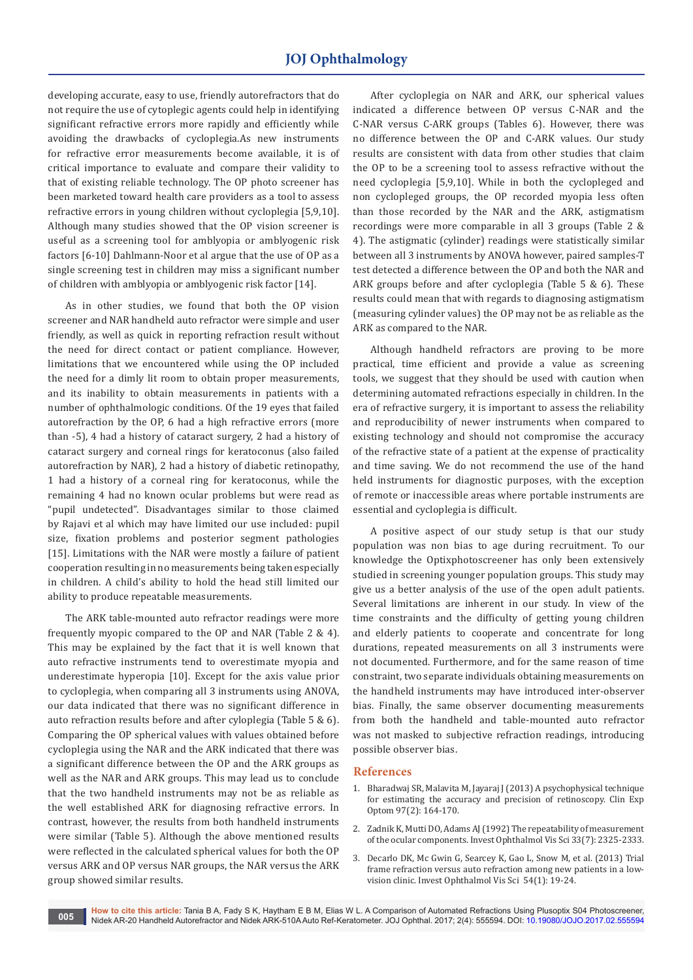developing accurate, easy to use, friendly autorefractors that do not require the use of cytoplegic agents could help in identifying significant refractive errors more rapidly and efficiently while avoiding the drawbacks of cycloplegia.As new instruments for refractive error measurements become available, it is of critical importance to evaluate and compare their validity to that of existing reliable technology. The OP photo screener has been marketed toward health care providers as a tool to assess refractive errors in young children without cycloplegia [5,9,10]. Although many studies showed that the OP vision screener is useful as a screening tool for amblyopia or amblyogenic risk factors [6-10] Dahlmann-Noor et al argue that the use of OP as a single screening test in children may miss a significant number of children with amblyopia or amblyogenic risk factor [14].

As in other studies, we found that both the OP vision screener and NAR handheld auto refractor were simple and user friendly, as well as quick in reporting refraction result without the need for direct contact or patient compliance. However, limitations that we encountered while using the OP included the need for a dimly lit room to obtain proper measurements, and its inability to obtain measurements in patients with a number of ophthalmologic conditions. Of the 19 eyes that failed autorefraction by the OP, 6 had a high refractive errors (more than -5), 4 had a history of cataract surgery, 2 had a history of cataract surgery and corneal rings for keratoconus (also failed autorefraction by NAR), 2 had a history of diabetic retinopathy, 1 had a history of a corneal ring for keratoconus, while the remaining 4 had no known ocular problems but were read as "pupil undetected". Disadvantages similar to those claimed by Rajavi et al which may have limited our use included: pupil size, fixation problems and posterior segment pathologies [15]. Limitations with the NAR were mostly a failure of patient cooperation resulting in no measurements being taken especially in children. A child's ability to hold the head still limited our ability to produce repeatable measurements.

The ARK table-mounted auto refractor readings were more frequently myopic compared to the OP and NAR (Table 2 & 4). This may be explained by the fact that it is well known that auto refractive instruments tend to overestimate myopia and underestimate hyperopia [10]. Except for the axis value prior to cycloplegia, when comparing all 3 instruments using ANOVA, our data indicated that there was no significant difference in auto refraction results before and after cyloplegia (Table 5 & 6). Comparing the OP spherical values with values obtained before cycloplegia using the NAR and the ARK indicated that there was a significant difference between the OP and the ARK groups as well as the NAR and ARK groups. This may lead us to conclude that the two handheld instruments may not be as reliable as the well established ARK for diagnosing refractive errors. In contrast, however, the results from both handheld instruments were similar (Table 5). Although the above mentioned results were reflected in the calculated spherical values for both the OP versus ARK and OP versus NAR groups, the NAR versus the ARK group showed similar results.

After cycloplegia on NAR and ARK, our spherical values indicated a difference between OP versus C-NAR and the C-NAR versus C-ARK groups (Tables 6). However, there was no difference between the OP and C-ARK values. Our study results are consistent with data from other studies that claim the OP to be a screening tool to assess refractive without the need cycloplegia [5,9,10]. While in both the cyclopleged and non cyclopleged groups, the OP recorded myopia less often than those recorded by the NAR and the ARK, astigmatism recordings were more comparable in all 3 groups (Table 2 & 4). The astigmatic (cylinder) readings were statistically similar between all 3 instruments by ANOVA however, paired samples-T test detected a difference between the OP and both the NAR and ARK groups before and after cycloplegia (Table 5 & 6). These results could mean that with regards to diagnosing astigmatism (measuring cylinder values) the OP may not be as reliable as the ARK as compared to the NAR.

Although handheld refractors are proving to be more practical, time efficient and provide a value as screening tools, we suggest that they should be used with caution when determining automated refractions especially in children. In the era of refractive surgery, it is important to assess the reliability and reproducibility of newer instruments when compared to existing technology and should not compromise the accuracy of the refractive state of a patient at the expense of practicality and time saving. We do not recommend the use of the hand held instruments for diagnostic purposes, with the exception of remote or inaccessible areas where portable instruments are essential and cycloplegia is difficult.

A positive aspect of our study setup is that our study population was non bias to age during recruitment. To our knowledge the Optixphotoscreener has only been extensively studied in screening younger population groups. This study may give us a better analysis of the use of the open adult patients. Several limitations are inherent in our study. In view of the time constraints and the difficulty of getting young children and elderly patients to cooperate and concentrate for long durations, repeated measurements on all 3 instruments were not documented. Furthermore, and for the same reason of time constraint, two separate individuals obtaining measurements on the handheld instruments may have introduced inter-observer bias. Finally, the same observer documenting measurements from both the handheld and table-mounted auto refractor was not masked to subjective refraction readings, introducing possible observer bias.

#### **References**

- 1. [Bharadwaj SR, Malavita M, Jayaraj J \(2013\) A psychophysical technique](https://www.ncbi.nlm.nih.gov/pubmed/24117784)  [for estimating the accuracy and precision of retinoscopy. Clin Exp](https://www.ncbi.nlm.nih.gov/pubmed/24117784)  [Optom 97\(2\): 164-170.](https://www.ncbi.nlm.nih.gov/pubmed/24117784)
- 2. [Zadnik K, Mutti DO, Adams AJ \(1992\) The repeatability of measurement](https://www.ncbi.nlm.nih.gov/pubmed/1607244)  [of the ocular components. Invest Ophthalmol Vis Sci 33\(7\): 2325-2333.](https://www.ncbi.nlm.nih.gov/pubmed/1607244)
- 3. [Decarlo DK, Mc Gwin G, Searcey K, Gao L, Snow M, et al. \(2013\) Trial](https://www.ncbi.nlm.nih.gov/pmc/articles/PMC3541945/)  [frame refraction versus auto refraction among new patients in a low](https://www.ncbi.nlm.nih.gov/pmc/articles/PMC3541945/)[vision clinic. Invest Ophthalmol Vis Sci 54\(1\): 19-24.](https://www.ncbi.nlm.nih.gov/pmc/articles/PMC3541945/)

**How to cite this article:** Tania B A, Fady S K, Haytham E B M, Elias W L. A Comparison of Automated Refractions Using Plusoptix S04 Photoscreener, Nidek AR-20 Handheld Autorefractor and Nidek ARK-510A Auto Ref-Keratometer. JOJ Ophthal. 2017; 2(4): 555594. DOI: [10.19080/JOJO.2017.02.555594](http://http://dx.doi.org/10.19080/JOJO.2017.02.555594
)